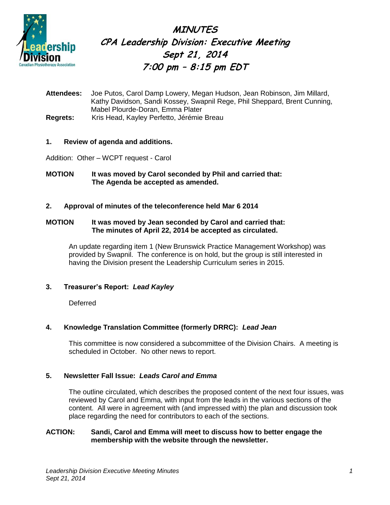

**MINUTES CPA Leadership Division: Executive Meeting Sept 21, 2014 7:00 pm – 8:15 pm EDT**

**Attendees:** Joe Putos, Carol Damp Lowery, Megan Hudson, Jean Robinson, Jim Millard, Kathy Davidson, Sandi Kossey, Swapnil Rege, Phil Sheppard, Brent Cunning, Mabel Plourde-Doran, Emma Plater **Regrets:** Kris Head, Kayley Perfetto, Jérémie Breau

# **1. Review of agenda and additions.**

Addition: Other – WCPT request - Carol

**MOTION It was moved by Carol seconded by Phil and carried that: The Agenda be accepted as amended.**

# **2. Approval of minutes of the teleconference held Mar 6 2014**

## **MOTION It was moved by Jean seconded by Carol and carried that: The minutes of April 22, 2014 be accepted as circulated.**

An update regarding item 1 (New Brunswick Practice Management Workshop) was provided by Swapnil. The conference is on hold, but the group is still interested in having the Division present the Leadership Curriculum series in 2015.

# **3. Treasurer's Report:** *Lead Kayley*

**Deferred** 

# **4. Knowledge Translation Committee (formerly DRRC):** *Lead Jean*

This committee is now considered a subcommittee of the Division Chairs. A meeting is scheduled in October. No other news to report.

# **5. Newsletter Fall Issue:** *Leads Carol and Emma*

The outline circulated, which describes the proposed content of the next four issues, was reviewed by Carol and Emma, with input from the leads in the various sections of the content. All were in agreement with (and impressed with) the plan and discussion took place regarding the need for contributors to each of the sections.

## **ACTION: Sandi, Carol and Emma will meet to discuss how to better engage the membership with the website through the newsletter.**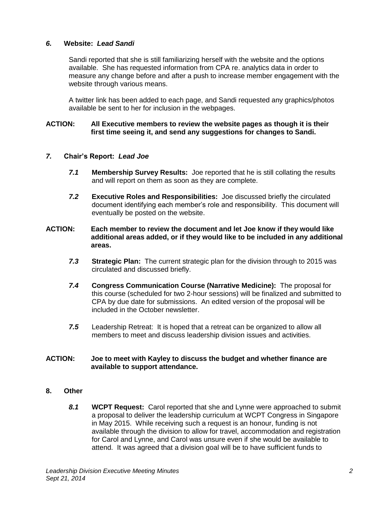## *6.* **Website:** *Lead Sandi*

Sandi reported that she is still familiarizing herself with the website and the options available. She has requested information from CPA re. analytics data in order to measure any change before and after a push to increase member engagement with the website through various means.

A twitter link has been added to each page, and Sandi requested any graphics/photos available be sent to her for inclusion in the webpages.

#### **ACTION: All Executive members to review the website pages as though it is their first time seeing it, and send any suggestions for changes to Sandi.**

## *7.* **Chair's Report:** *Lead Joe*

- *7.1* **Membership Survey Results:** Joe reported that he is still collating the results and will report on them as soon as they are complete.
- *7.2* **Executive Roles and Responsibilities:** Joe discussed briefly the circulated document identifying each member's role and responsibility. This document will eventually be posted on the website.

#### **ACTION: Each member to review the document and let Joe know if they would like additional areas added, or if they would like to be included in any additional areas.**

- *7.3* **Strategic Plan:** The current strategic plan for the division through to 2015 was circulated and discussed briefly.
- *7.4* **Congress Communication Course (Narrative Medicine):** The proposal for this course (scheduled for two 2-hour sessions) will be finalized and submitted to CPA by due date for submissions. An edited version of the proposal will be included in the October newsletter.
- *7.5* Leadership Retreat: It is hoped that a retreat can be organized to allow all members to meet and discuss leadership division issues and activities.

#### **ACTION: Joe to meet with Kayley to discuss the budget and whether finance are available to support attendance.**

#### **8. Other**

*8.1* **WCPT Request:** Carol reported that she and Lynne were approached to submit a proposal to deliver the leadership curriculum at WCPT Congress in Singapore in May 2015. While receiving such a request is an honour, funding is not available through the division to allow for travel, accommodation and registration for Carol and Lynne, and Carol was unsure even if she would be available to attend. It was agreed that a division goal will be to have sufficient funds to